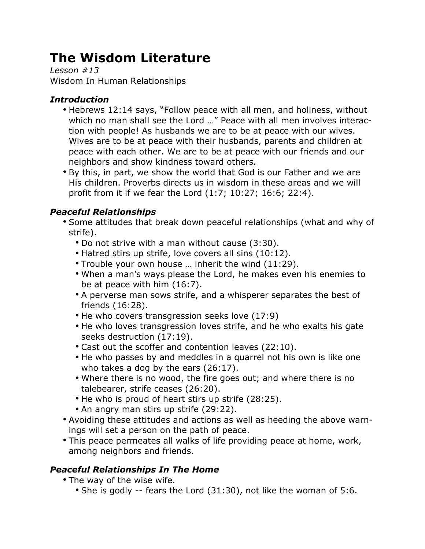# **The Wisdom Literature**

*Lesson #13* Wisdom In Human Relationships

# *Introduction*

- Hebrews 12:14 says, "Follow peace with all men, and holiness, without which no man shall see the Lord …" Peace with all men involves interaction with people! As husbands we are to be at peace with our wives. Wives are to be at peace with their husbands, parents and children at peace with each other. We are to be at peace with our friends and our neighbors and show kindness toward others.
- By this, in part, we show the world that God is our Father and we are His children. Proverbs directs us in wisdom in these areas and we will profit from it if we fear the Lord (1:7; 10:27; 16:6; 22:4).

# *Peaceful Relationships*

- Some attitudes that break down peaceful relationships (what and why of strife).
	- Do not strive with a man without cause (3:30).
	- Hatred stirs up strife, love covers all sins (10:12).
	- Trouble your own house … inherit the wind (11:29).
	- When a man's ways please the Lord, he makes even his enemies to be at peace with him (16:7).
	- A perverse man sows strife, and a whisperer separates the best of friends (16:28).
	- He who covers transgression seeks love (17:9)
	- He who loves transgression loves strife, and he who exalts his gate seeks destruction (17:19).
	- Cast out the scoffer and contention leaves (22:10).
	- He who passes by and meddles in a quarrel not his own is like one who takes a dog by the ears (26:17).
	- Where there is no wood, the fire goes out; and where there is no talebearer, strife ceases (26:20).
	- He who is proud of heart stirs up strife (28:25).
	- An angry man stirs up strife (29:22).
- Avoiding these attitudes and actions as well as heeding the above warnings will set a person on the path of peace.
- This peace permeates all walks of life providing peace at home, work, among neighbors and friends.

### *Peaceful Relationships In The Home*

- The way of the wise wife.
	- She is godly -- fears the Lord (31:30), not like the woman of 5:6.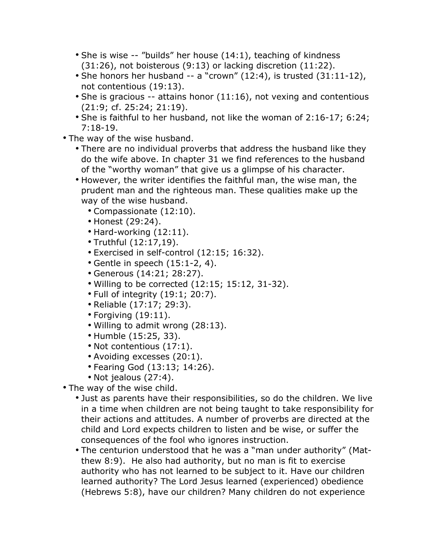- She is wise -- "builds" her house (14:1), teaching of kindness (31:26), not boisterous (9:13) or lacking discretion (11:22).
- She honors her husband -- a "crown" (12:4), is trusted (31:11-12), not contentious (19:13).
- She is gracious -- attains honor (11:16), not vexing and contentious (21:9; cf. 25:24; 21:19).
- She is faithful to her husband, not like the woman of 2:16-17; 6:24; 7:18-19.
- The way of the wise husband.
	- There are no individual proverbs that address the husband like they do the wife above. In chapter 31 we find references to the husband of the "worthy woman" that give us a glimpse of his character.
	- However, the writer identifies the faithful man, the wise man, the prudent man and the righteous man. These qualities make up the way of the wise husband.
		- Compassionate (12:10).
		- Honest (29:24).
		- Hard-working (12:11).
		- Truthful (12:17,19).
		- Exercised in self-control (12:15; 16:32).
		- Gentle in speech (15:1-2, 4).
		- Generous (14:21; 28:27).
		- Willing to be corrected (12:15; 15:12, 31-32).
		- Full of integrity (19:1; 20:7).
		- Reliable (17:17; 29:3).
		- Forgiving (19:11).
		- Willing to admit wrong (28:13).
		- Humble (15:25, 33).
		- Not contentious (17:1).
		- Avoiding excesses (20:1).
		- Fearing God (13:13; 14:26).
		- Not jealous (27:4).
- The way of the wise child.
	- Just as parents have their responsibilities, so do the children. We live in a time when children are not being taught to take responsibility for their actions and attitudes. A number of proverbs are directed at the child and Lord expects children to listen and be wise, or suffer the consequences of the fool who ignores instruction.
	- The centurion understood that he was a "man under authority" (Matthew 8:9). He also had authority, but no man is fit to exercise authority who has not learned to be subject to it. Have our children learned authority? The Lord Jesus learned (experienced) obedience (Hebrews 5:8), have our children? Many children do not experience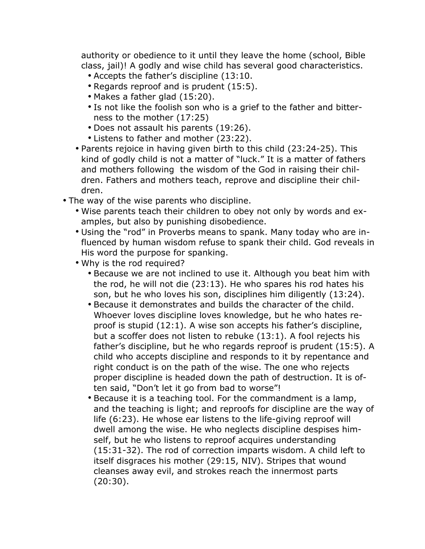authority or obedience to it until they leave the home (school, Bible class, jail)! A godly and wise child has several good characteristics.

- Accepts the father's discipline (13:10.
- Regards reproof and is prudent (15:5).
- Makes a father glad (15:20).
- Is not like the foolish son who is a grief to the father and bitterness to the mother (17:25)
- Does not assault his parents (19:26).
- Listens to father and mother (23:22).
- Parents rejoice in having given birth to this child (23:24-25). This kind of godly child is not a matter of "luck." It is a matter of fathers and mothers following the wisdom of the God in raising their children. Fathers and mothers teach, reprove and discipline their children.
- The way of the wise parents who discipline.
	- Wise parents teach their children to obey not only by words and examples, but also by punishing disobedience.
	- Using the "rod" in Proverbs means to spank. Many today who are influenced by human wisdom refuse to spank their child. God reveals in His word the purpose for spanking.
	- Why is the rod required?
		- Because we are not inclined to use it. Although you beat him with the rod, he will not die (23:13). He who spares his rod hates his son, but he who loves his son, disciplines him diligently (13:24).
		- Because it demonstrates and builds the character of the child. Whoever loves discipline loves knowledge, but he who hates reproof is stupid (12:1). A wise son accepts his father's discipline, but a scoffer does not listen to rebuke (13:1). A fool rejects his father's discipline, but he who regards reproof is prudent (15:5). A child who accepts discipline and responds to it by repentance and right conduct is on the path of the wise. The one who rejects proper discipline is headed down the path of destruction. It is often said, "Don't let it go from bad to worse"!
		- Because it is a teaching tool. For the commandment is a lamp, and the teaching is light; and reproofs for discipline are the way of life (6:23). He whose ear listens to the life-giving reproof will dwell among the wise. He who neglects discipline despises himself, but he who listens to reproof acquires understanding (15:31-32). The rod of correction imparts wisdom. A child left to itself disgraces his mother (29:15, NIV). Stripes that wound cleanses away evil, and strokes reach the innermost parts (20:30).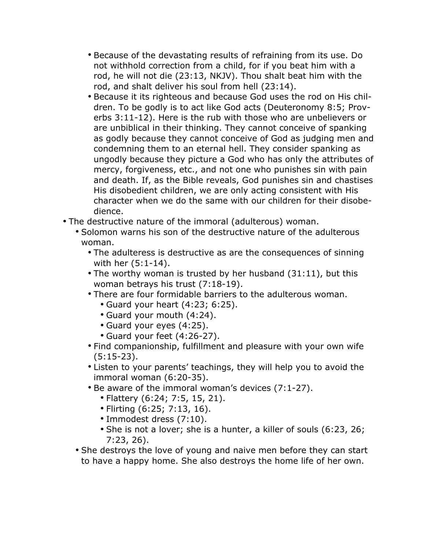- Because of the devastating results of refraining from its use. Do not withhold correction from a child, for if you beat him with a rod, he will not die (23:13, NKJV). Thou shalt beat him with the rod, and shalt deliver his soul from hell (23:14).
- Because it its righteous and because God uses the rod on His children. To be godly is to act like God acts (Deuteronomy 8:5; Proverbs 3:11-12). Here is the rub with those who are unbelievers or are unbiblical in their thinking. They cannot conceive of spanking as godly because they cannot conceive of God as judging men and condemning them to an eternal hell. They consider spanking as ungodly because they picture a God who has only the attributes of mercy, forgiveness, etc., and not one who punishes sin with pain and death. If, as the Bible reveals, God punishes sin and chastises His disobedient children, we are only acting consistent with His character when we do the same with our children for their disobedience.
- The destructive nature of the immoral (adulterous) woman.
	- Solomon warns his son of the destructive nature of the adulterous woman.
		- The adulteress is destructive as are the consequences of sinning with her (5:1-14).
		- The worthy woman is trusted by her husband (31:11), but this woman betrays his trust (7:18-19).
		- There are four formidable barriers to the adulterous woman.
			- Guard your heart (4:23; 6:25).
			- Guard your mouth (4:24).
			- Guard your eyes (4:25).
			- Guard your feet (4:26-27).
		- Find companionship, fulfillment and pleasure with your own wife (5:15-23).
		- Listen to your parents' teachings, they will help you to avoid the immoral woman (6:20-35).
		- Be aware of the immoral woman's devices (7:1-27).
			- Flattery (6:24; 7:5, 15, 21).
			- Flirting (6:25; 7:13, 16).
			- Immodest dress (7:10).
			- She is not a lover; she is a hunter, a killer of souls (6:23, 26; 7:23, 26).
	- She destroys the love of young and naive men before they can start to have a happy home. She also destroys the home life of her own.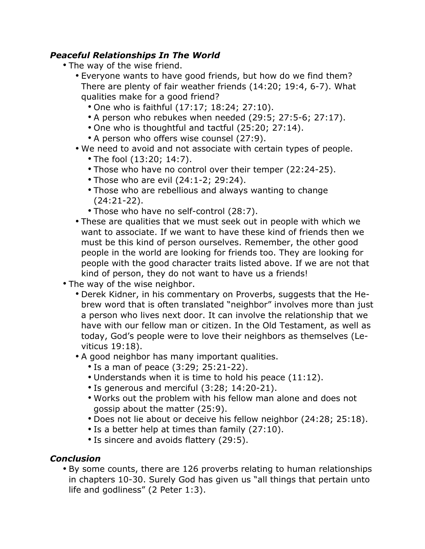#### *Peaceful Relationships In The World*

- The way of the wise friend.
	- Everyone wants to have good friends, but how do we find them? There are plenty of fair weather friends (14:20; 19:4, 6-7). What qualities make for a good friend?
		- One who is faithful (17:17; 18:24; 27:10).
		- A person who rebukes when needed (29:5; 27:5-6; 27:17).
		- One who is thoughtful and tactful (25:20; 27:14).
		- A person who offers wise counsel (27:9).
	- We need to avoid and not associate with certain types of people.
		- The fool (13:20; 14:7).
		- Those who have no control over their temper (22:24-25).
		- Those who are evil (24:1-2; 29:24).
		- Those who are rebellious and always wanting to change (24:21-22).
		- Those who have no self-control (28:7).
	- These are qualities that we must seek out in people with which we want to associate. If we want to have these kind of friends then we must be this kind of person ourselves. Remember, the other good people in the world are looking for friends too. They are looking for people with the good character traits listed above. If we are not that kind of person, they do not want to have us a friends!
- The way of the wise neighbor.
	- Derek Kidner, in his commentary on Proverbs, suggests that the Hebrew word that is often translated "neighbor" involves more than just a person who lives next door. It can involve the relationship that we have with our fellow man or citizen. In the Old Testament, as well as today, God's people were to love their neighbors as themselves (Leviticus 19:18).
	- A good neighbor has many important qualities.
		- Is a man of peace (3:29; 25:21-22).
		- Understands when it is time to hold his peace (11:12).
		- Is generous and merciful (3:28; 14:20-21).
		- Works out the problem with his fellow man alone and does not gossip about the matter (25:9).
		- Does not lie about or deceive his fellow neighbor (24:28; 25:18).
		- Is a better help at times than family (27:10).
		- Is sincere and avoids flattery (29:5).

### *Conclusion*

• By some counts, there are 126 proverbs relating to human relationships in chapters 10-30. Surely God has given us "all things that pertain unto life and godliness" (2 Peter 1:3).